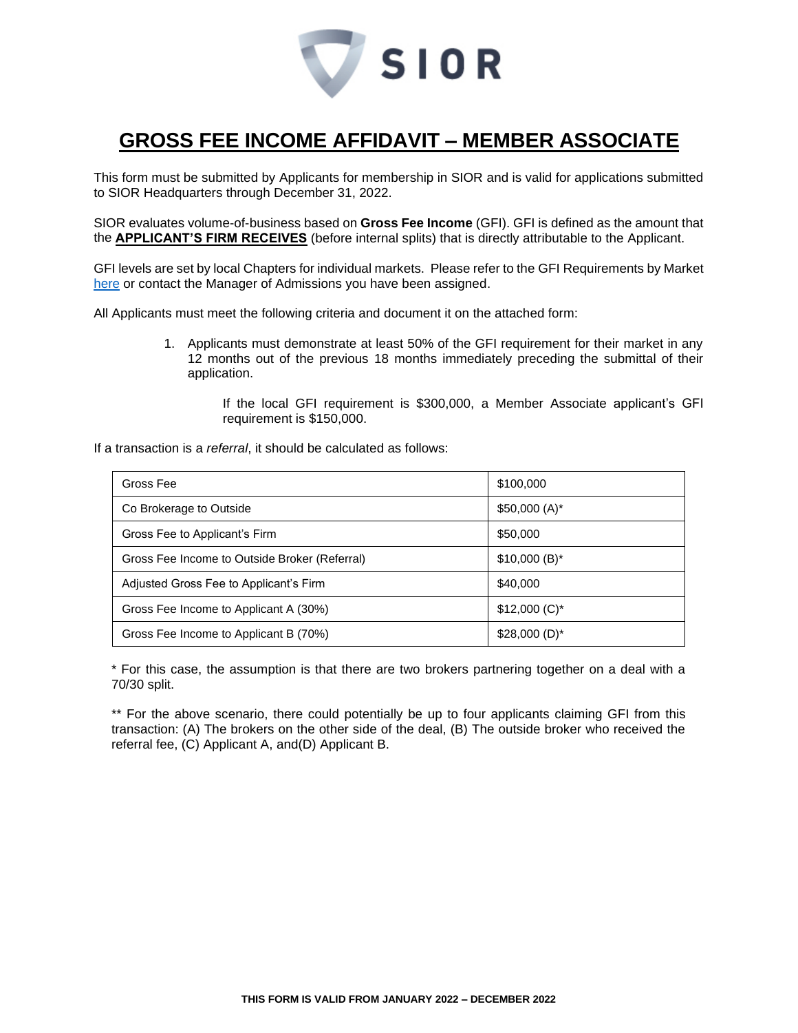

## **GROSS FEE INCOME AFFIDAVIT – MEMBER ASSOCIATE**

This form must be submitted by Applicants for membership in SIOR and is valid for applications submitted to SIOR Headquarters through December 31, 2022.

SIOR evaluates volume-of-business based on **Gross Fee Income** (GFI). GFI is defined as the amount that the **APPLICANT'S FIRM RECEIVES** (before internal splits) that is directly attributable to the Applicant.

GFI levels are set by local Chapters for individual markets. Please refer to the GFI Requirements by Market [here](http://www.sior.com/docs/default-source/membership-docs/sior-gfi-requirements.pdf) or contact the Manager of Admissions you have been assigned.

All Applicants must meet the following criteria and document it on the attached form:

1. Applicants must demonstrate at least 50% of the GFI requirement for their market in any 12 months out of the previous 18 months immediately preceding the submittal of their application.

> If the local GFI requirement is \$300,000, a Member Associate applicant's GFI requirement is \$150,000.

If a transaction is a *referral*, it should be calculated as follows:

| Gross Fee                                     | \$100,000      |
|-----------------------------------------------|----------------|
| Co Brokerage to Outside                       | $$50,000(A)^*$ |
| Gross Fee to Applicant's Firm                 | \$50,000       |
| Gross Fee Income to Outside Broker (Referral) | $$10,000(B)^*$ |
| Adjusted Gross Fee to Applicant's Firm        | \$40,000       |
| Gross Fee Income to Applicant A (30%)         | $$12,000(C)^*$ |
| Gross Fee Income to Applicant B (70%)         | $$28,000(D)^*$ |

\* For this case, the assumption is that there are two brokers partnering together on a deal with a 70/30 split.

\*\* For the above scenario, there could potentially be up to four applicants claiming GFI from this transaction: (A) The brokers on the other side of the deal, (B) The outside broker who received the referral fee, (C) Applicant A, and(D) Applicant B.